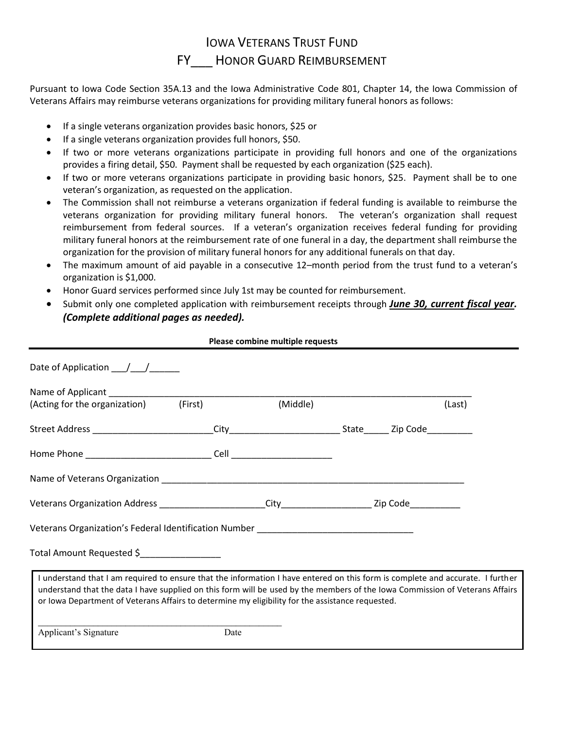## IOWA VETERANS TRUST FUND FY HONOR GUARD REIMBURSEMENT

Pursuant to Iowa Code Section 35A.13 and the Iowa Administrative Code 801, Chapter 14, the Iowa Commission of Veterans Affairs may reimburse veterans organizations for providing military funeral honors as follows:

- If a single veterans organization provides basic honors, \$25 or
- If a single veterans organization provides full honors, \$50.
- If two or more veterans organizations participate in providing full honors and one of the organizations provides a firing detail, \$50. Payment shall be requested by each organization (\$25 each).
- If two or more veterans organizations participate in providing basic honors, \$25. Payment shall be to one veteran's organization, as requested on the application.
- The Commission shall not reimburse a veterans organization if federal funding is available to reimburse the veterans organization for providing military funeral honors. The veteran's organization shall request reimbursement from federal sources. If a veteran's organization receives federal funding for providing military funeral honors at the reimbursement rate of one funeral in a day, the department shall reimburse the organization for the provision of military funeral honors for any additional funerals on that day.
- The maximum amount of aid payable in a consecutive 12–month period from the trust fund to a veteran's organization is \$1,000.
- Honor Guard services performed since July 1st may be counted for reimbursement.
- Submit only one completed application with reimbursement receipts through *June 30, current fiscal year. (Complete additional pages as needed).*

**Please combine multiple requests**

| (Acting for the organization) (First)                                                                                                                                                                                                                                                                                                                              |      | (Middle) |  |  | (Last) |
|--------------------------------------------------------------------------------------------------------------------------------------------------------------------------------------------------------------------------------------------------------------------------------------------------------------------------------------------------------------------|------|----------|--|--|--------|
|                                                                                                                                                                                                                                                                                                                                                                    |      |          |  |  |        |
|                                                                                                                                                                                                                                                                                                                                                                    |      |          |  |  |        |
|                                                                                                                                                                                                                                                                                                                                                                    |      |          |  |  |        |
|                                                                                                                                                                                                                                                                                                                                                                    |      |          |  |  |        |
| Veterans Organization's Federal Identification Number ___________________________                                                                                                                                                                                                                                                                                  |      |          |  |  |        |
| Total Amount Requested \$                                                                                                                                                                                                                                                                                                                                          |      |          |  |  |        |
| I understand that I am required to ensure that the information I have entered on this form is complete and accurate. I further<br>understand that the data I have supplied on this form will be used by the members of the Iowa Commission of Veterans Affairs<br>or Iowa Department of Veterans Affairs to determine my eligibility for the assistance requested. |      |          |  |  |        |
| Applicant's Signature                                                                                                                                                                                                                                                                                                                                              | Date |          |  |  |        |